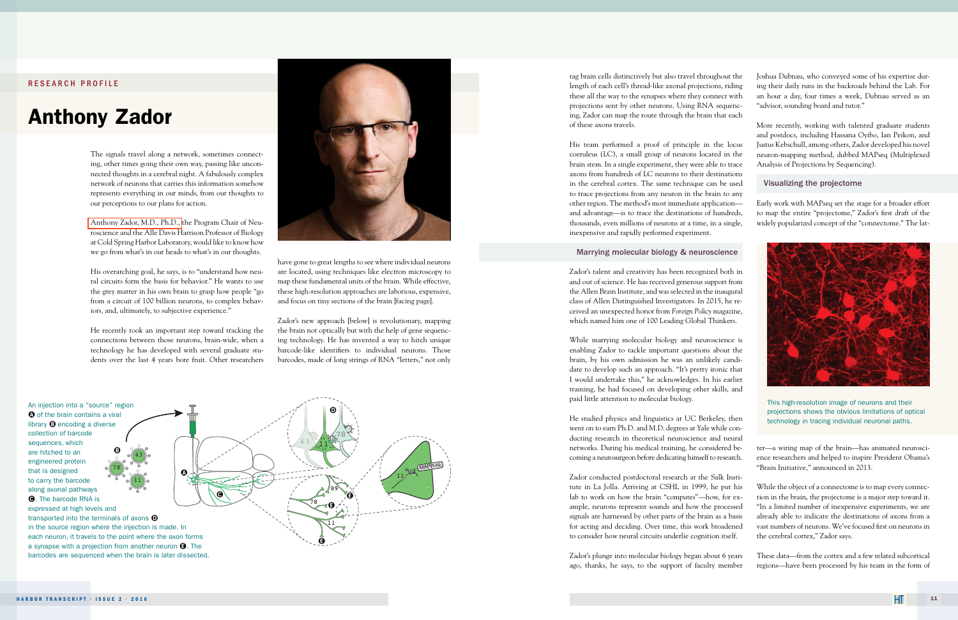## RESEARCH PROFILE

# Anthony Zador

tag brain cells distinctively but also travel throughout the length of each cell's thread-like axonal projections, riding these all the way to the synapses where they connect with projections sent by other neurons. Using RNA sequencing, Zador can map the route through the brain that each of these axons travels.

His team performed a proof of principle in the locus coeruleus (LC), a small group of neurons located in the brain stem. In a single experiment, they were able to trace axons from hundreds of LC neurons to their destinations in the cerebral cortex. The same technique can be used to trace projections from any neuron in the brain to any other region. The method's most immediate application and advantage—is to trace the destinations of hundreds, thousands, even millions of neurons at a time, in a single, inexpensive and rapidly performed experiment.

#### Marrying molecular biology & neuroscience

Zador's talent and creativity has been recognized both in and out of science. He has received generous support from the Allen Brain Institute, and was selected in the inaugural class of Allen Distinguished Investigators. In 2015, he received an unexpected honor from *Foreign Policy* magazine, which named him one of 100 Leading Global Thinkers.

While marrying molecular biology and neuroscience is enabling Zador to tackle important questions about the brain, by his own admission he was an unlikely candidate to develop such an approach. "It's pretty ironic that I would undertake this," he acknowledges. In his earlier training, he had focused on developing other skills, and paid little attention to molecular biology.

He studied physics and linguistics at UC Berkeley, then went on to earn Ph.D. and M.D. degrees at Yale while conducting research in theoretical neuroscience and neural networks. During his medical training, he considered becoming a neurosurgeon before dedicating himself to research.

Zador conducted postdoctoral research at the Salk Institute in La Jolla. Arriving at CSHL in 1999, he put his lab to work on how the brain "computes"—how, for example, neurons represent sounds and how the processed signals are harnessed by other parts of the brain as a basis for acting and deciding. Over time, this work broadened to consider how neural circuits underlie cognition itself.

Zador's plunge into molecular biology began about 6 years ago, thanks, he says, to the support of faculty member

Joshua Dubnau, who conveyed some of his expertise during their daily runs in the backroads behind the Lab. For an hour a day, four times a week, Dubnau served as an "advisor, sounding board and tutor."

More recently, working with talented graduate students and postdocs, including Hassana Oyibo, Ian Peikon, and Justus Kebschull, among others, Zador developed his novel neuron-mapping method, dubbed MAPseq (Multiplexed Analysis of Projections by Sequencing).

### Visualizing the projectome

Early work with MAPseq set the stage for a broader effort to map the entire "projectome," Zador's first draft of the widely popularized concept of the "connectome." The lat-

ter—a wiring map of the brain—has animated neuroscience researchers and helped to inspire President Obama's "Brain Initiative," announced in 2013.

While the object of a connectome is to map every connection in the brain, the projectome is a major step toward it. "In a limited number of inexpensive experiments, we are already able to indicate the destinations of axons from a vast numbers of neurons. We've focused first on neurons in the cerebral cortex," Zador says.

These data—from the cortex and a few related subcortical regions—have been processed by his team in the form of



This high-resolution image of neurons and their projections shows the obvious limitations of optical technology in tracing individual neuronal paths.

have gone to great lengths to see where individual neurons are located, using techniques like electron microscopy to map these fundamental units of the brain. While effective, these high-resolution approaches are laborious, expensive, and focus on tiny sections of the brain [facing page].

Zador's new approach [below] is revolutionary, mapping the brain not optically but with the help of gene sequencing technology. He has invented a way to hitch unique barcode-like identifiers to individual neurons. Those barcodes, made of long strings of RNA "letters," not only



The signals travel along a network, sometimes connecting, other times going their own way, passing like unconnected thoughts in a cerebral night. A fabulously complex network of neurons that carries this information somehow represents everything in our minds, from our thoughts to our perceptions to our plans for action.

[Anthony Zador, M.D., Ph.D.,](http://www.cshl.edu/Faculty/Anthony-Zador.html) the Program Chair of Neuroscience and the Alle Davis Harrison Professor of Biology at Cold Spring Harbor Laboratory, would like to know how we go from what's in our heads to what's in our thoughts.

His overarching goal, he says, is to "understand how neural circuits form the basis for behavior." He wants to use the grey matter in his own brain to grasp how people "go from a circuit of 100 billion neurons, to complex behaviors, and, ultimately, to subjective experience."

He recently took an important step toward tracking the connections between those neurons, brain-wide, when a technology he has developed with several graduate students over the last 4 years bore fruit. Other researchers